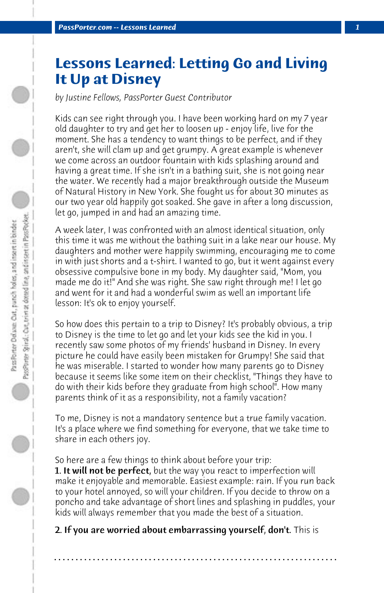## **Lessons Learned: Letting Go and Living It Up at Disney**

*by Justine Fellows, PassPorter Guest Contributor*

Kids can see right through you. I have been working hard on my 7 year old daughter to try and get her to loosen up - enjoy life, live for the moment. She has a tendency to want things to be perfect, and if they aren't, she will clam up and get grumpy. A great example is whenever we come across an outdoor fountain with kids splashing around and having a great time. If she isn't in a bathing suit, she is not going near the water. We recently had a major breakthrough outside the Museum of Natural History in New York. She fought us for about 30 minutes as our two year old happily got soaked. She gave in after a long discussion, let go, jumped in and had an amazing time.

A week later, I was confronted with an almost identical situation, only this time it was me without the bathing suit in a lake near our house. My daughters and mother were happily swimming, encouraging me to come in with just shorts and a t-shirt. I wanted to go, but it went against every obsessive compulsive bone in my body. My daughter said, "Mom, you made me do it!" And she was right. She saw right through me! I let go and went for it and had a wonderful swim as well an important life lesson: It's ok to enjoy yourself.

So how does this pertain to a trip to Disney? It's probably obvious, a trip to Disney is the time to let go and let your kids see the kid in you. I recently saw some photos of my friends' husband in Disney. In every picture he could have easily been mistaken for Grumpy! She said that he was miserable. I started to wonder how many parents go to Disney because it seems like some item on their checklist, "Things they have to do with their kids before they graduate from high school". How many parents think of it as a responsibility, not a family vacation?

To me, Disney is not a mandatory sentence but a true family vacation. It's a place where we find something for everyone, that we take time to share in each others joy.

So here are a few things to think about before your trip: **1. It will not be perfect**, but the way you react to imperfection will make it enjoyable and memorable. Easiest example: rain. If you run back to your hotel annoyed, so will your children. If you decide to throw on a poncho and take advantage of short lines and splashing in puddles, your kids will always remember that you made the best of a situation.

2. If you are worried about embarrassing yourself, don't. This is

**. . . . . . . . . . . . . . . . . . . . . . . . . . . . . . . . . . . . . . . . . . . . . . . . . . . . . . . . . . . . . . . . . .**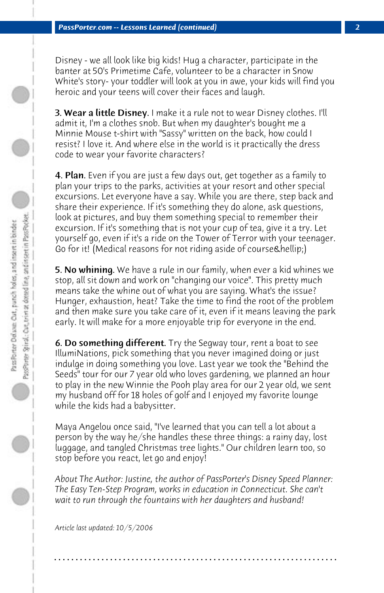Disney - we all look like big kids! Hug a character, participate in the banter at 50's Primetime Cafe, volunteer to be a character in Snow White's story- your toddler will look at you in awe, your kids will find you heroic and your teens will cover their faces and laugh.

**3. Wear a little Disney.** I make it a rule not to wear Disney clothes. I'll admit it, I'm a clothes snob. But when my daughter's bought me a Minnie Mouse t-shirt with "Sassy" written on the back, how could I resist? I love it. And where else in the world is it practically the dress code to wear your favorite characters?

4. Plan. Even if you are just a few days out, get together as a family to plan your trips to the parks, activities at your resort and other special excursions. Let everyone have a say. While you are there, step back and share their experience. If it's something they do alone, ask questions, look at pictures, and buy them something special to remember their excursion. If it's something that is not your cup of tea, give it a try. Let yourself go, even if it's a ride on the Tower of Terror with your teenager. Go for it! (Medical reasons for not riding aside of course & hellip;)

5. No whining. We have a rule in our family, when ever a kid whines we stop, all sit down and work on "changing our voice". This pretty much means take the whine out of what you are saying. What's the issue? Hunger, exhaustion, heat? Take the time to find the root of the problem and then make sure you take care of it, even if it means leaving the park early. It will make for a more enjoyable trip for everyone in the end.

**6. Do something different.** Try the Segway tour, rent a boat to see IllumiNations, pick something that you never imagined doing or just indulge in doing something you love. Last year we took the "Behind the Seeds" tour for our 7 year old who loves gardening, we planned an hour to play in the new Winnie the Pooh play area for our 2 year old, we sent my husband off for 18 holes of golf and I enjoyed my favorite lounge while the kids had a babysitter.

Maya Angelou once said, "I've learned that you can tell a lot about a person by the way he/she handles these three things: a rainy day, lost luggage, and tangled Christmas tree lights." Our children learn too, so stop before you react, let go and enjoy!

*About The Author: Justine, the author of PassPorter's Disney Speed Planner: The Easy Ten-Step Program, works in education in Connecticut. She can't wait to run through the fountains with her daughters and husband!*

**. . . . . . . . . . . . . . . . . . . . . . . . . . . . . . . . . . . . . . . . . . . . . . . . . . . . . . . . . . . . . . . . . .**

*Article last updated: 10/5/2006*